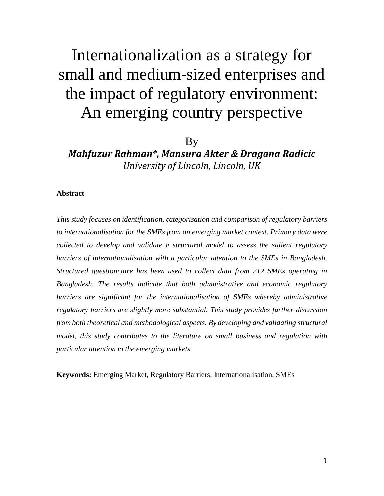# Internationalization as a strategy for small and medium‐sized enterprises and the impact of regulatory environment: An emerging country perspective

# By

*Mahfuzur Rahman\*, Mansura Akter & Dragana Radicic University of Lincoln, Lincoln, UK*

## **Abstract**

*This study focuses on identification, categorisation and comparison of regulatory barriers to internationalisation for the SMEs from an emerging market context. Primary data were collected to develop and validate a structural model to assess the salient regulatory barriers of internationalisation with a particular attention to the SMEs in Bangladesh. Structured questionnaire has been used to collect data from 212 SMEs operating in Bangladesh. The results indicate that both administrative and economic regulatory barriers are significant for the internationalisation of SMEs whereby administrative regulatory barriers are slightly more substantial. This study provides further discussion from both theoretical and methodological aspects. By developing and validating structural model, this study contributes to the literature on small business and regulation with particular attention to the emerging markets.* 

**Keywords:** Emerging Market, Regulatory Barriers, Internationalisation, SMEs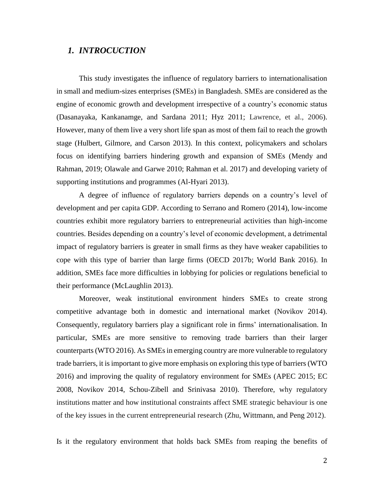# *1. INTROCUCTION*

This study investigates the influence of regulatory barriers to internationalisation in small and medium-sizes enterprises (SMEs) in Bangladesh. SMEs are considered as the engine of economic growth and development irrespective of a country's economic status (Dasanayaka, Kankanamge, and Sardana 2011; Hyz 2011; Lawrence, et al., 2006). However, many of them live a very short life span as most of them fail to reach the growth stage (Hulbert, Gilmore, and Carson 2013). In this context, policymakers and scholars focus on identifying barriers hindering growth and expansion of SMEs (Mendy and Rahman, 2019; Olawale and Garwe 2010; Rahman et al. 2017) and developing variety of supporting institutions and programmes (Al-Hyari 2013).

A degree of influence of regulatory barriers depends on a country's level of development and per capita GDP. According to Serrano and Romero (2014), low-income countries exhibit more regulatory barriers to entrepreneurial activities than high-income countries. Besides depending on a country's level of economic development, a detrimental impact of regulatory barriers is greater in small firms as they have weaker capabilities to cope with this type of barrier than large firms (OECD 2017b; World Bank 2016). In addition, SMEs face more difficulties in lobbying for policies or regulations beneficial to their performance (McLaughlin 2013).

Moreover, weak institutional environment hinders SMEs to create strong competitive advantage both in domestic and international market (Novikov 2014). Consequently, regulatory barriers play a significant role in firms' internationalisation. In particular, SMEs are more sensitive to removing trade barriers than their larger counterparts(WTO 2016). As SMEs in emerging country are more vulnerable to regulatory trade barriers, it is important to give more emphasis on exploring this type of barriers (WTO 2016) and improving the quality of regulatory environment for SMEs (APEC 2015; EC 2008, Novikov 2014, Schou-Zibell and Srinivasa 2010). Therefore, why regulatory institutions matter and how institutional constraints affect SME strategic behaviour is one of the key issues in the current entrepreneurial research (Zhu, Wittmann, and Peng 2012).

Is it the regulatory environment that holds back SMEs from reaping the benefits of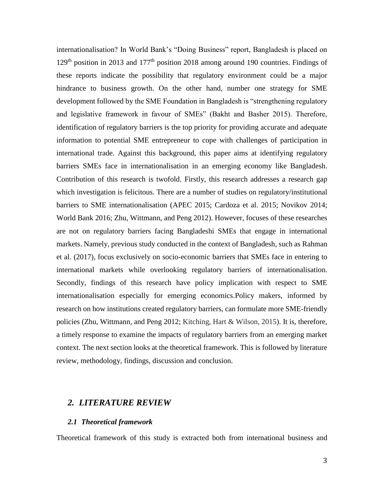internationalisation? In World Bank's "Doing Business" report, Bangladesh is placed on  $129<sup>th</sup>$  position in 2013 and  $177<sup>th</sup>$  position 2018 among around 190 countries. Findings of these reports indicate the possibility that regulatory environment could be a major hindrance to business growth. On the other hand, number one strategy for SME development followed by the SME Foundation in Bangladesh is "strengthening regulatory and legislative framework in favour of SMEs" (Bakht and Basher 2015). Therefore, identification of regulatory barriers is the top priority for providing accurate and adequate information to potential SME entrepreneur to cope with challenges of participation in international trade. Against this background, this paper aims at identifying regulatory barriers SMEs face in internationalisation in an emerging economy like Bangladesh. Contribution of this research is twofold. Firstly, this research addresses a research gap which investigation is felicitous. There are a number of studies on regulatory/institutional barriers to SME internationalisation (APEC 2015; Cardoza et al. 2015; Novikov 2014; World Bank 2016; Zhu, Wittmann, and Peng 2012). However, focuses of these researches are not on regulatory barriers facing Bangladeshi SMEs that engage in international markets. Namely, previous study conducted in the context of Bangladesh, such as Rahman et al. (2017), focus exclusively on socio-economic barriers that SMEs face in entering to international markets while overlooking regulatory barriers of internationalisation. Secondly, findings of this research have policy implication with respect to SME internationalisation especially for emerging economics.Policy makers, informed by research on how institutions created regulatory barriers, can formulate more SME-friendly policies (Zhu, Wittmann, and Peng 2012; Kitching, Hart & Wilson, 2015). It is, therefore, a timely response to examine the impacts of regulatory barriers from an emerging market context. The next section looks at the theoretical framework. This is followed by literature review, methodology, findings, discussion and conclusion.

# *2. LITERATURE REVIEW*

## *2.1 Theoretical framework*

Theoretical framework of this study is extracted both from international business and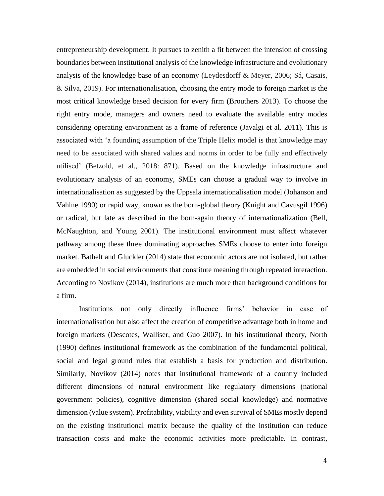entrepreneurship development. It pursues to zenith a fit between the intension of crossing boundaries between institutional analysis of the knowledge infrastructure and evolutionary analysis of the knowledge base of an economy (Leydesdorff & Meyer, 2006; Sá, Casais, & Silva, 2019). For internationalisation, choosing the entry mode to foreign market is the most critical knowledge based decision for every firm (Brouthers 2013). To choose the right entry mode, managers and owners need to evaluate the available entry modes considering operating environment as a frame of reference (Javalgi et al*.* 2011). This is associated with 'a founding assumption of the Triple Helix model is that knowledge may need to be associated with shared values and norms in order to be fully and effectively utilised' (Betzold, et al., 2018: 871). Based on the knowledge infrastructure and evolutionary analysis of an economy, SMEs can choose a gradual way to involve in internationalisation as suggested by the Uppsala internationalisation model (Johanson and Vahlne 1990) or rapid way, known as the born-global theory (Knight and Cavusgil 1996) or radical, but late as described in the born-again theory of internationalization (Bell, McNaughton, and Young 2001). The institutional environment must affect whatever pathway among these three dominating approaches SMEs choose to enter into foreign market. Bathelt and Gluckler (2014) state that economic actors are not isolated, but rather are embedded in social environments that constitute meaning through repeated interaction. According to Novikov (2014), institutions are much more than background conditions for a firm.

Institutions not only directly influence firms' behavior in case of internationalisation but also affect the creation of competitive advantage both in home and foreign markets (Descotes, Walliser, and Guo 2007). In his institutional theory, North (1990) defines institutional framework as the combination of the fundamental political, social and legal ground rules that establish a basis for production and distribution. Similarly, Novikov (2014) notes that institutional framework of a country included different dimensions of natural environment like regulatory dimensions (national government policies), cognitive dimension (shared social knowledge) and normative dimension (value system). Profitability, viability and even survival of SMEs mostly depend on the existing institutional matrix because the quality of the institution can reduce transaction costs and make the economic activities more predictable. In contrast,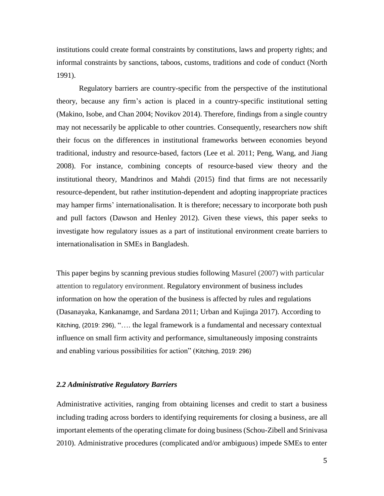institutions could create formal constraints by constitutions, laws and property rights; and informal constraints by sanctions, taboos, customs, traditions and code of conduct (North 1991).

Regulatory barriers are country-specific from the perspective of the institutional theory, because any firm's action is placed in a country-specific institutional setting (Makino, Isobe, and Chan 2004; Novikov 2014). Therefore, findings from a single country may not necessarily be applicable to other countries. Consequently, researchers now shift their focus on the differences in institutional frameworks between economies beyond traditional, industry and resource-based, factors (Lee et al. 2011; Peng, Wang, and Jiang 2008). For instance, combining concepts of resource-based view theory and the institutional theory, Mandrinos and Mahdi (2015) find that firms are not necessarily resource-dependent, but rather institution-dependent and adopting inappropriate practices may hamper firms' internationalisation. It is therefore; necessary to incorporate both push and pull factors (Dawson and Henley 2012). Given these views, this paper seeks to investigate how regulatory issues as a part of institutional environment create barriers to internationalisation in SMEs in Bangladesh.

This paper begins by scanning previous studies following Masurel (2007) with particular attention to regulatory environment. Regulatory environment of business includes information on how the operation of the business is affected by rules and regulations (Dasanayaka, Kankanamge, and Sardana 2011; Urban and Kujinga 2017). According to Kitching, (2019: 296), "…. the legal framework is a fundamental and necessary contextual influence on small firm activity and performance, simultaneously imposing constraints and enabling various possibilities for action" (Kitching, 2019: 296)

#### *2.2 Administrative Regulatory Barriers*

Administrative activities, ranging from obtaining licenses and credit to start a business including trading across borders to identifying requirements for closing a business, are all important elements of the operating climate for doing business (Schou-Zibell and Srinivasa 2010). Administrative procedures (complicated and/or ambiguous) impede SMEs to enter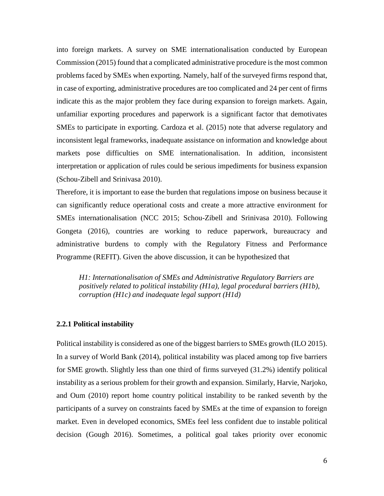into foreign markets. A survey on SME internationalisation conducted by European Commission (2015) found that a complicated administrative procedure is the most common problems faced by SMEs when exporting. Namely, half of the surveyed firms respond that, in case of exporting, administrative procedures are too complicated and 24 per cent of firms indicate this as the major problem they face during expansion to foreign markets. Again, unfamiliar exporting procedures and paperwork is a significant factor that demotivates SMEs to participate in exporting. Cardoza et al. (2015) note that adverse regulatory and inconsistent legal frameworks, inadequate assistance on information and knowledge about markets pose difficulties on SME internationalisation. In addition, inconsistent interpretation or application of rules could be serious impediments for business expansion (Schou-Zibell and Srinivasa 2010).

Therefore, it is important to ease the burden that regulations impose on business because it can significantly reduce operational costs and create a more attractive environment for SMEs internationalisation (NCC 2015; Schou-Zibell and Srinivasa 2010). Following Gongeta (2016), countries are working to reduce paperwork, bureaucracy and administrative burdens to comply with the Regulatory Fitness and Performance Programme (REFIT). Given the above discussion, it can be hypothesized that

*H1: Internationalisation of SMEs and Administrative Regulatory Barriers are positively related to political instability (H1a), legal procedural barriers (H1b), corruption (H1c) and inadequate legal support (H1d)*

#### **2.2.1 Political instability**

Political instability is considered as one of the biggest barriers to SMEs growth (ILO 2015). In a survey of World Bank (2014), political instability was placed among top five barriers for SME growth. Slightly less than one third of firms surveyed (31.2%) identify political instability as a serious problem for their growth and expansion. Similarly, Harvie, Narjoko, and Oum (2010) report home country political instability to be ranked seventh by the participants of a survey on constraints faced by SMEs at the time of expansion to foreign market. Even in developed economics, SMEs feel less confident due to instable political decision (Gough 2016). Sometimes, a political goal takes priority over economic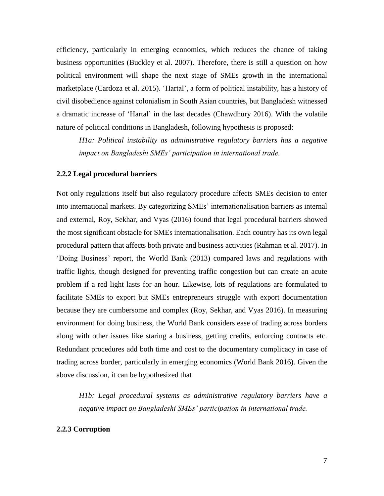efficiency, particularly in emerging economics, which reduces the chance of taking business opportunities (Buckley et al. 2007). Therefore, there is still a question on how political environment will shape the next stage of SMEs growth in the international marketplace (Cardoza et al. 2015). 'Hartal', a form of political instability, has a history of civil disobedience against colonialism in South Asian countries, but Bangladesh witnessed a dramatic increase of 'Hartal' in the last decades (Chawdhury 2016). With the volatile nature of political conditions in Bangladesh, following hypothesis is proposed:

*H1a: Political instability as administrative regulatory barriers has a negative impact on Bangladeshi SMEs' participation in international trade.*

## **2.2.2 Legal procedural barriers**

Not only regulations itself but also regulatory procedure affects SMEs decision to enter into international markets. By categorizing SMEs' internationalisation barriers as internal and external, Roy, Sekhar, and Vyas (2016) found that legal procedural barriers showed the most significant obstacle for SMEs internationalisation. Each country has its own legal procedural pattern that affects both private and business activities (Rahman et al. 2017). In 'Doing Business' report, the World Bank (2013) compared laws and regulations with traffic lights, though designed for preventing traffic congestion but can create an acute problem if a red light lasts for an hour. Likewise, lots of regulations are formulated to facilitate SMEs to export but SMEs entrepreneurs struggle with export documentation because they are cumbersome and complex (Roy, Sekhar, and Vyas 2016). In measuring environment for doing business, the World Bank considers ease of trading across borders along with other issues like staring a business, getting credits, enforcing contracts etc. Redundant procedures add both time and cost to the documentary complicacy in case of trading across border, particularly in emerging economics (World Bank 2016). Given the above discussion, it can be hypothesized that

*H1b: Legal procedural systems as administrative regulatory barriers have a negative impact on Bangladeshi SMEs' participation in international trade.*

#### **2.2.3 Corruption**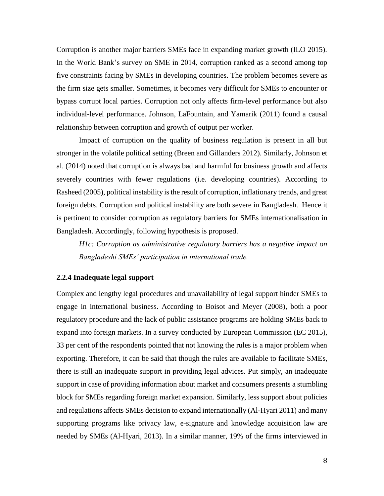Corruption is another major barriers SMEs face in expanding market growth (ILO 2015). In the World Bank's survey on SME in 2014, corruption ranked as a second among top five constraints facing by SMEs in developing countries. The problem becomes severe as the firm size gets smaller. Sometimes, it becomes very difficult for SMEs to encounter or bypass corrupt local parties. Corruption not only affects firm-level performance but also individual-level performance. Johnson, LaFountain, and Yamarik (2011) found a causal relationship between corruption and growth of output per worker.

Impact of corruption on the quality of business regulation is present in all but stronger in the volatile political setting (Breen and Gillanders 2012). Similarly, Johnson et al. (2014) noted that corruption is always bad and harmful for business growth and affects severely countries with fewer regulations (i.e. developing countries). According to Rasheed (2005), political instability is the result of corruption, inflationary trends, and great foreign debts. Corruption and political instability are both severe in Bangladesh. Hence it is pertinent to consider corruption as regulatory barriers for SMEs internationalisation in Bangladesh. Accordingly, following hypothesis is proposed.

*H1c: Corruption as administrative regulatory barriers has a negative impact on Bangladeshi SMEs' participation in international trade.*

#### **2.2.4 Inadequate legal support**

Complex and lengthy legal procedures and unavailability of legal support hinder SMEs to engage in international business. According to Boisot and Meyer (2008), both a poor regulatory procedure and the lack of public assistance programs are holding SMEs back to expand into foreign markets. In a survey conducted by European Commission (EC 2015), 33 per cent of the respondents pointed that not knowing the rules is a major problem when exporting. Therefore, it can be said that though the rules are available to facilitate SMEs, there is still an inadequate support in providing legal advices. Put simply, an inadequate support in case of providing information about market and consumers presents a stumbling block for SMEs regarding foreign market expansion. Similarly, less support about policies and regulations affects SMEs decision to expand internationally (Al-Hyari 2011) and many supporting programs like privacy law, e-signature and knowledge acquisition law are needed by SMEs (Al-Hyari, 2013). In a similar manner, 19% of the firms interviewed in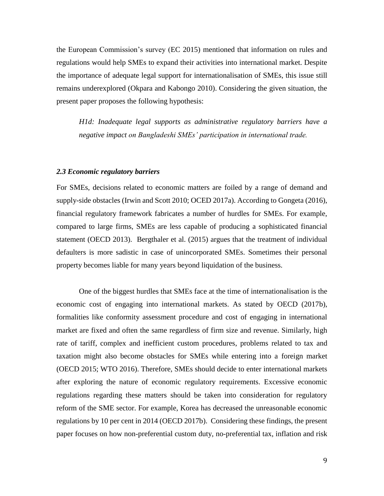the European Commission's survey (EC 2015) mentioned that information on rules and regulations would help SMEs to expand their activities into international market. Despite the importance of adequate legal support for internationalisation of SMEs, this issue still remains underexplored (Okpara and Kabongo 2010). Considering the given situation, the present paper proposes the following hypothesis:

*H1d: Inadequate legal supports as administrative regulatory barriers have a negative impact on Bangladeshi SMEs' participation in international trade.*

#### *2.3 Economic regulatory barriers*

For SMEs, decisions related to economic matters are foiled by a range of demand and supply-side obstacles (Irwin and Scott 2010; OCED 2017a). According to Gongeta (2016), financial regulatory framework fabricates a number of hurdles for SMEs. For example, compared to large firms, SMEs are less capable of producing a sophisticated financial statement (OECD 2013). Bergthaler et al. (2015) argues that the treatment of individual defaulters is more sadistic in case of unincorporated SMEs. Sometimes their personal property becomes liable for many years beyond liquidation of the business.

One of the biggest hurdles that SMEs face at the time of internationalisation is the economic cost of engaging into international markets. As stated by OECD (2017b), formalities like conformity assessment procedure and cost of engaging in international market are fixed and often the same regardless of firm size and revenue. Similarly, high rate of tariff, complex and inefficient custom procedures, problems related to tax and taxation might also become obstacles for SMEs while entering into a foreign market (OECD 2015; WTO 2016). Therefore, SMEs should decide to enter international markets after exploring the nature of economic regulatory requirements. Excessive economic regulations regarding these matters should be taken into consideration for regulatory reform of the SME sector. For example, Korea has decreased the unreasonable economic regulations by 10 per cent in 2014 (OECD 2017b). Considering these findings, the present paper focuses on how non-preferential custom duty, no-preferential tax, inflation and risk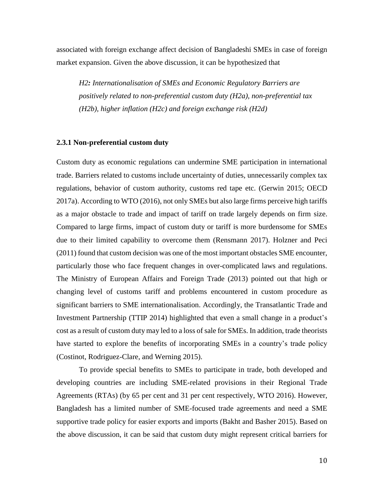associated with foreign exchange affect decision of Bangladeshi SMEs in case of foreign market expansion. Given the above discussion, it can be hypothesized that

*H2: Internationalisation of SMEs and Economic Regulatory Barriers are positively related to non-preferential custom duty (H2a), non-preferential tax (H2b), higher inflation (H2c) and foreign exchange risk (H2d)*

# **2.3.1 Non-preferential custom duty**

Custom duty as economic regulations can undermine SME participation in international trade. Barriers related to customs include uncertainty of duties, unnecessarily complex tax regulations, behavior of custom authority, customs red tape etc. (Gerwin 2015; OECD 2017a). According to WTO (2016), not only SMEs but also large firms perceive high tariffs as a major obstacle to trade and impact of tariff on trade largely depends on firm size. Compared to large firms, impact of custom duty or tariff is more burdensome for SMEs due to their limited capability to overcome them (Rensmann 2017). Holzner and Peci (2011) found that custom decision was one of the most important obstacles SME encounter, particularly those who face frequent changes in over-complicated laws and regulations. The Ministry of European Affairs and Foreign Trade (2013) pointed out that high or changing level of customs tariff and problems encountered in custom procedure as significant barriers to SME internationalisation. Accordingly, the Transatlantic Trade and Investment Partnership (TTIP 2014) highlighted that even a small change in a product's cost as a result of custom duty may led to a loss of sale for SMEs. In addition, trade theorists have started to explore the benefits of incorporating SMEs in a country's trade policy (Costinot, Rodriguez-Clare, and Werning 2015).

To provide special benefits to SMEs to participate in trade, both developed and developing countries are including SME-related provisions in their Regional Trade Agreements (RTAs) (by 65 per cent and 31 per cent respectively, WTO 2016). However, Bangladesh has a limited number of SME-focused trade agreements and need a SME supportive trade policy for easier exports and imports (Bakht and Basher 2015). Based on the above discussion, it can be said that custom duty might represent critical barriers for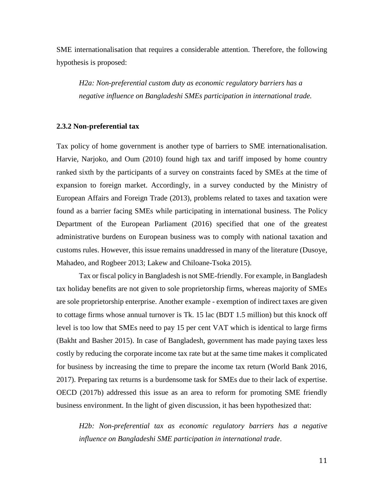SME internationalisation that requires a considerable attention. Therefore, the following hypothesis is proposed:

*H2a: Non-preferential custom duty as economic regulatory barriers has a negative influence on Bangladeshi SMEs participation in international trade.*

#### **2.3.2 Non-preferential tax**

Tax policy of home government is another type of barriers to SME internationalisation. Harvie, Narjoko, and Oum (2010) found high tax and tariff imposed by home country ranked sixth by the participants of a survey on constraints faced by SMEs at the time of expansion to foreign market. Accordingly, in a survey conducted by the Ministry of European Affairs and Foreign Trade (2013), problems related to taxes and taxation were found as a barrier facing SMEs while participating in international business. The Policy Department of the European Parliament (2016) specified that one of the greatest administrative burdens on European business was to comply with national taxation and customs rules. However, this issue remains unaddressed in many of the literature (Dusoye, Mahadeo, and Rogbeer 2013; Lakew and Chiloane-Tsoka 2015).

Tax or fiscal policy in Bangladesh is not SME-friendly. For example, in Bangladesh tax holiday benefits are not given to sole proprietorship firms, whereas majority of SMEs are sole proprietorship enterprise. Another example - exemption of indirect taxes are given to cottage firms whose annual turnover is Tk. 15 lac (BDT 1.5 million) but this knock off level is too low that SMEs need to pay 15 per cent VAT which is identical to large firms (Bakht and Basher 2015). In case of Bangladesh, government has made paying taxes less costly by reducing the corporate income tax rate but at the same time makes it complicated for business by increasing the time to prepare the income tax return (World Bank 2016, 2017). Preparing tax returns is a burdensome task for SMEs due to their lack of expertise. OECD (2017b) addressed this issue as an area to reform for promoting SME friendly business environment. In the light of given discussion, it has been hypothesized that:

*H2b: Non-preferential tax as economic regulatory barriers has a negative influence on Bangladeshi SME participation in international trade*.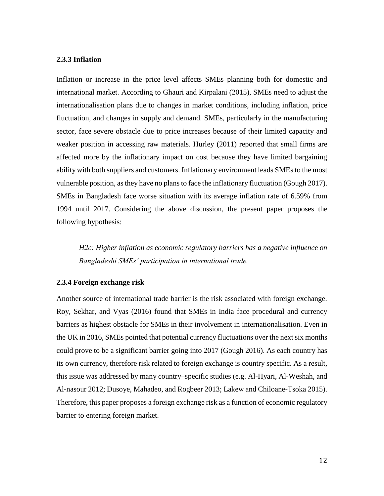#### **2.3.3 Inflation**

Inflation or increase in the price level affects SMEs planning both for domestic and international market. According to Ghauri and Kirpalani (2015), SMEs need to adjust the internationalisation plans due to changes in market conditions, including inflation, price fluctuation, and changes in supply and demand. SMEs, particularly in the manufacturing sector, face severe obstacle due to price increases because of their limited capacity and weaker position in accessing raw materials. Hurley (2011) reported that small firms are affected more by the inflationary impact on cost because they have limited bargaining ability with both suppliers and customers. Inflationary environment leads SMEs to the most vulnerable position, as they have no plans to face the inflationary fluctuation (Gough 2017). SMEs in Bangladesh face worse situation with its average inflation rate of 6.59% from 1994 until 2017. Considering the above discussion, the present paper proposes the following hypothesis:

*H2c: Higher inflation as economic regulatory barriers has a negative influence on Bangladeshi SMEs' participation in international trade.*

# **2.3.4 Foreign exchange risk**

Another source of international trade barrier is the risk associated with foreign exchange. Roy, Sekhar, and Vyas (2016) found that SMEs in India face procedural and currency barriers as highest obstacle for SMEs in their involvement in internationalisation. Even in the UK in 2016, SMEs pointed that potential currency fluctuations over the next six months could prove to be a significant barrier going into 2017 (Gough 2016). As each country has its own currency, therefore risk related to foreign exchange is country specific. As a result, this issue was addressed by many country–specific studies (e.g. Al-Hyari, Al-Weshah, and Al-nasour 2012; Dusoye, Mahadeo, and Rogbeer 2013; Lakew and Chiloane-Tsoka 2015). Therefore, this paper proposes a foreign exchange risk as a function of economic regulatory barrier to entering foreign market.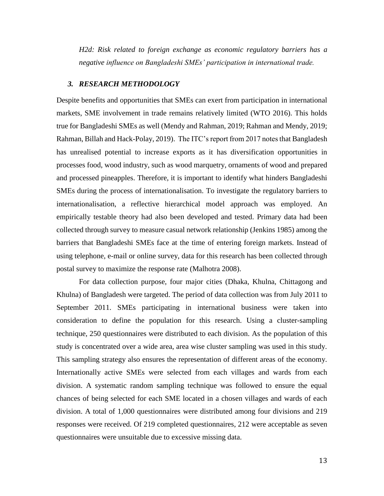*H2d: Risk related to foreign exchange as economic regulatory barriers has a negative influence on Bangladeshi SMEs' participation in international trade.*

#### *3. RESEARCH METHODOLOGY*

Despite benefits and opportunities that SMEs can exert from participation in international markets, SME involvement in trade remains relatively limited (WTO 2016). This holds true for Bangladeshi SMEs as well (Mendy and Rahman, 2019; Rahman and Mendy, 2019; Rahman, Billah and Hack-Polay, 2019). The ITC's report from 2017 notes that Bangladesh has unrealised potential to increase exports as it has diversification opportunities in processes food, wood industry, such as wood marquetry, ornaments of wood and prepared and processed pineapples. Therefore, it is important to identify what hinders Bangladeshi SMEs during the process of internationalisation. To investigate the regulatory barriers to internationalisation, a reflective hierarchical model approach was employed. An empirically testable theory had also been developed and tested. Primary data had been collected through survey to measure casual network relationship (Jenkins 1985) among the barriers that Bangladeshi SMEs face at the time of entering foreign markets. Instead of using telephone, e-mail or online survey, data for this research has been collected through postal survey to maximize the response rate (Malhotra 2008).

For data collection purpose, four major cities (Dhaka, Khulna, Chittagong and Khulna) of Bangladesh were targeted. The period of data collection was from July 2011 to September 2011. SMEs participating in international business were taken into consideration to define the population for this research. Using a cluster-sampling technique, 250 questionnaires were distributed to each division. As the population of this study is concentrated over a wide area, area wise cluster sampling was used in this study. This sampling strategy also ensures the representation of different areas of the economy. Internationally active SMEs were selected from each villages and wards from each division. A systematic random sampling technique was followed to ensure the equal chances of being selected for each SME located in a chosen villages and wards of each division. A total of 1,000 questionnaires were distributed among four divisions and 219 responses were received. Of 219 completed questionnaires, 212 were acceptable as seven questionnaires were unsuitable due to excessive missing data.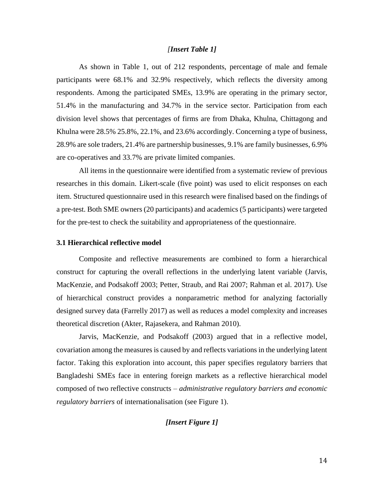# *[Insert Table 1]*

As shown in Table 1, out of 212 respondents, percentage of male and female participants were 68.1% and 32.9% respectively, which reflects the diversity among respondents. Among the participated SMEs, 13.9% are operating in the primary sector, 51.4% in the manufacturing and 34.7% in the service sector. Participation from each division level shows that percentages of firms are from Dhaka, Khulna, Chittagong and Khulna were 28.5% 25.8%, 22.1%, and 23.6% accordingly. Concerning a type of business, 28.9% are sole traders, 21.4% are partnership businesses, 9.1% are family businesses, 6.9% are co-operatives and 33.7% are private limited companies.

All items in the questionnaire were identified from a systematic review of previous researches in this domain. Likert-scale (five point) was used to elicit responses on each item. Structured questionnaire used in this research were finalised based on the findings of a pre-test. Both SME owners (20 participants) and academics (5 participants) were targeted for the pre-test to check the suitability and appropriateness of the questionnaire.

#### **3.1 Hierarchical reflective model**

Composite and reflective measurements are combined to form a hierarchical construct for capturing the overall reflections in the underlying latent variable (Jarvis, MacKenzie, and Podsakoff 2003; Petter, Straub, and Rai 2007; Rahman et al. 2017). Use of hierarchical construct provides a nonparametric method for analyzing factorially designed survey data (Farrelly 2017) as well as reduces a model complexity and increases theoretical discretion (Akter, Rajasekera, and Rahman 2010).

Jarvis, MacKenzie, and Podsakoff (2003) argued that in a reflective model, covariation among the measures is caused by and reflects variations in the underlying latent factor. Taking this exploration into account, this paper specifies regulatory barriers that Bangladeshi SMEs face in entering foreign markets as a reflective hierarchical model composed of two reflective constructs – *administrative regulatory barriers and economic regulatory barriers* of internationalisation (see Figure 1).

# *[Insert Figure 1]*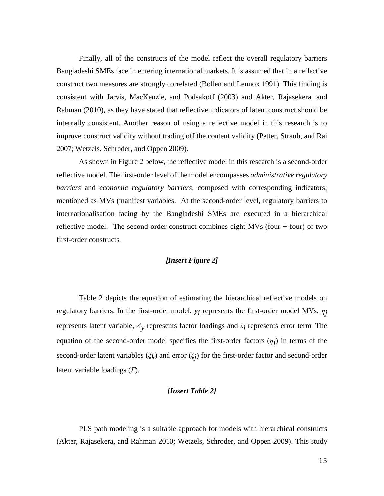Finally, all of the constructs of the model reflect the overall regulatory barriers Bangladeshi SMEs face in entering international markets. It is assumed that in a reflective construct two measures are strongly correlated (Bollen and Lennox 1991). This finding is consistent with Jarvis, MacKenzie, and Podsakoff (2003) and Akter, Rajasekera, and Rahman (2010), as they have stated that reflective indicators of latent construct should be internally consistent. Another reason of using a reflective model in this research is to improve construct validity without trading off the content validity (Petter, Straub, and Rai 2007; Wetzels, Schroder, and Oppen 2009).

As shown in Figure 2 below, the reflective model in this research is a second-order reflective model. The first-order level of the model encompasses *administrative regulatory barriers* and *economic regulatory barriers,* composed with corresponding indicators; mentioned as MVs (manifest variables. At the second-order level, regulatory barriers to internationalisation facing by the Bangladeshi SMEs are executed in a hierarchical reflective model. The second-order construct combines eight MVs (four + four) of two first-order constructs.

# *[Insert Figure 2]*

Table 2 depicts the equation of estimating the hierarchical reflective models on regulatory barriers. In the first-order model, *yi* represents the first-order model MVs, *ηj* represents latent variable, *Δy* represents factor loadings and *εi* represents error term. The equation of the second-order model specifies the first-order factors (*ηj* ) in terms of the second-order latent variables (*ξk* ) and error (*ζj* ) for the first-order factor and second-order latent variable loadings (*Г*).

## *[Insert Table 2]*

PLS path modeling is a suitable approach for models with hierarchical constructs (Akter, Rajasekera, and Rahman 2010; Wetzels, Schroder, and Oppen 2009). This study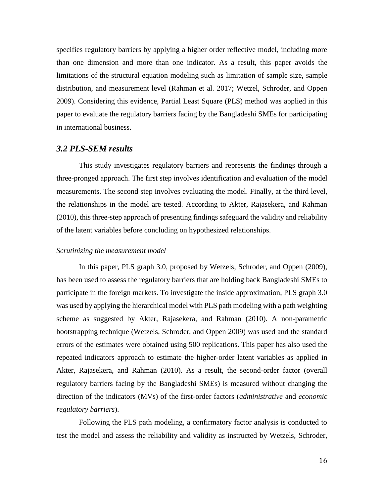specifies regulatory barriers by applying a higher order reflective model, including more than one dimension and more than one indicator. As a result, this paper avoids the limitations of the structural equation modeling such as limitation of sample size, sample distribution, and measurement level (Rahman et al. 2017; Wetzel, Schroder, and Oppen 2009). Considering this evidence, Partial Least Square (PLS) method was applied in this paper to evaluate the regulatory barriers facing by the Bangladeshi SMEs for participating in international business.

# *3.2 PLS-SEM results*

This study investigates regulatory barriers and represents the findings through a three-pronged approach. The first step involves identification and evaluation of the model measurements. The second step involves evaluating the model. Finally, at the third level, the relationships in the model are tested. According to Akter, Rajasekera, and Rahman (2010), this three-step approach of presenting findings safeguard the validity and reliability of the latent variables before concluding on hypothesized relationships.

#### *Scrutinizing the measurement model*

In this paper, PLS graph 3.0, proposed by Wetzels, Schroder, and Oppen (2009), has been used to assess the regulatory barriers that are holding back Bangladeshi SMEs to participate in the foreign markets. To investigate the inside approximation, PLS graph 3.0 was used by applying the hierarchical model with PLS path modeling with a path weighting scheme as suggested by Akter, Rajasekera, and Rahman (2010). A non-parametric bootstrapping technique (Wetzels, Schroder, and Oppen 2009) was used and the standard errors of the estimates were obtained using 500 replications. This paper has also used the repeated indicators approach to estimate the higher-order latent variables as applied in Akter, Rajasekera, and Rahman (2010). As a result, the second-order factor (overall regulatory barriers facing by the Bangladeshi SMEs) is measured without changing the direction of the indicators (MVs) of the first-order factors (*administrative* and *economic regulatory barriers*).

Following the PLS path modeling, a confirmatory factor analysis is conducted to test the model and assess the reliability and validity as instructed by Wetzels, Schroder,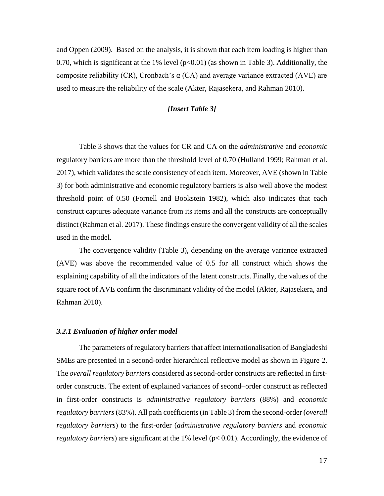and Oppen (2009). Based on the analysis, it is shown that each item loading is higher than 0.70, which is significant at the 1% level ( $p<0.01$ ) (as shown in Table 3). Additionally, the composite reliability (CR), Cronbach's  $\alpha$  (CA) and average variance extracted (AVE) are used to measure the reliability of the scale (Akter, Rajasekera, and Rahman 2010).

# *[Insert Table 3]*

Table 3 shows that the values for CR and CA on the *administrative* and *economic*  regulatory barriers are more than the threshold level of 0.70 (Hulland 1999; Rahman et al. 2017), which validates the scale consistency of each item. Moreover, AVE (shown in Table 3) for both administrative and economic regulatory barriers is also well above the modest threshold point of 0.50 (Fornell and Bookstein 1982), which also indicates that each construct captures adequate variance from its items and all the constructs are conceptually distinct (Rahman et al. 2017). These findings ensure the convergent validity of all the scales used in the model.

The convergence validity (Table 3), depending on the average variance extracted (AVE) was above the recommended value of 0.5 for all construct which shows the explaining capability of all the indicators of the latent constructs. Finally, the values of the square root of AVE confirm the discriminant validity of the model (Akter, Rajasekera, and Rahman 2010).

#### *3.2.1 Evaluation of higher order model*

The parameters of regulatory barriers that affect internationalisation of Bangladeshi SMEs are presented in a second-order hierarchical reflective model as shown in Figure 2. The *overall regulatory barriers* considered as second-order constructs are reflected in firstorder constructs. The extent of explained variances of second–order construct as reflected in first-order constructs is *administrative regulatory barriers* (88%) and *economic regulatory barriers* (83%). All path coefficients (in Table 3) from the second-order (*overall regulatory barriers*) to the first-order (*administrative regulatory barriers* and *economic regulatory barriers*) are significant at the 1% level (p< 0.01). Accordingly, the evidence of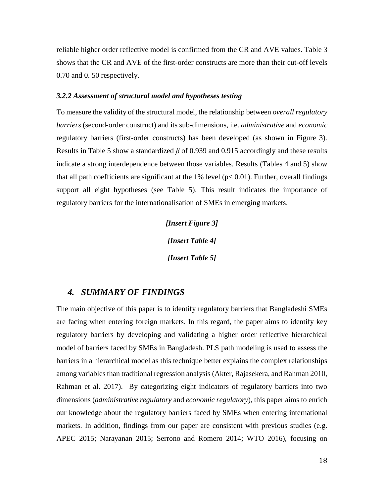reliable higher order reflective model is confirmed from the CR and AVE values. Table 3 shows that the CR and AVE of the first-order constructs are more than their cut-off levels 0.70 and 0. 50 respectively.

#### *3.2.2 Assessment of structural model and hypotheses testing*

To measure the validity of the structural model, the relationship between *overall regulatory barriers* (second-order construct) and its sub-dimensions, i.e. *administrative* and *economic* regulatory barriers (first-order constructs) has been developed (as shown in Figure 3). Results in Table 5 show a standardized *β* of 0.939 and 0.915 accordingly and these results indicate a strong interdependence between those variables. Results (Tables 4 and 5) show that all path coefficients are significant at the  $1\%$  level ( $p < 0.01$ ). Further, overall findings support all eight hypotheses (see Table 5). This result indicates the importance of regulatory barriers for the internationalisation of SMEs in emerging markets.

> *[Insert Figure 3] [Insert Table 4] [Insert Table 5]*

# *4. SUMMARY OF FINDINGS*

The main objective of this paper is to identify regulatory barriers that Bangladeshi SMEs are facing when entering foreign markets. In this regard, the paper aims to identify key regulatory barriers by developing and validating a higher order reflective hierarchical model of barriers faced by SMEs in Bangladesh. PLS path modeling is used to assess the barriers in a hierarchical model as this technique better explains the complex relationships among variables than traditional regression analysis (Akter, Rajasekera, and Rahman 2010, Rahman et al. 2017). By categorizing eight indicators of regulatory barriers into two dimensions (*administrative regulatory* and *economic regulatory*), this paper aims to enrich our knowledge about the regulatory barriers faced by SMEs when entering international markets. In addition, findings from our paper are consistent with previous studies (e.g. APEC 2015; Narayanan 2015; Serrono and Romero 2014; WTO 2016), focusing on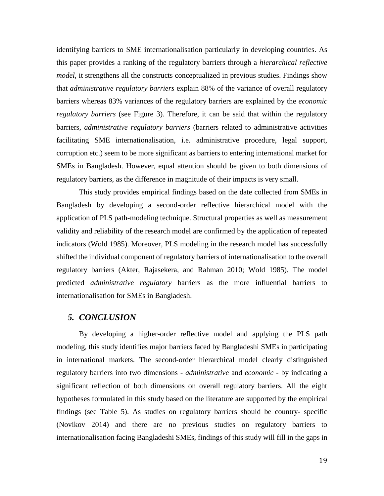identifying barriers to SME internationalisation particularly in developing countries. As this paper provides a ranking of the regulatory barriers through a *hierarchical reflective model*, it strengthens all the constructs conceptualized in previous studies. Findings show that *administrative regulatory barriers* explain 88% of the variance of overall regulatory barriers whereas 83% variances of the regulatory barriers are explained by the *economic regulatory barriers* (see Figure 3). Therefore, it can be said that within the regulatory barriers, *administrative regulatory barriers* (barriers related to administrative activities facilitating SME internationalisation, i.e. administrative procedure, legal support, corruption etc.) seem to be more significant as barriers to entering international market for SMEs in Bangladesh. However, equal attention should be given to both dimensions of regulatory barriers, as the difference in magnitude of their impacts is very small.

This study provides empirical findings based on the date collected from SMEs in Bangladesh by developing a second-order reflective hierarchical model with the application of PLS path-modeling technique. Structural properties as well as measurement validity and reliability of the research model are confirmed by the application of repeated indicators (Wold 1985). Moreover, PLS modeling in the research model has successfully shifted the individual component of regulatory barriers of internationalisation to the overall regulatory barriers (Akter, Rajasekera, and Rahman 2010; Wold 1985). The model predicted *administrative regulatory* barriers as the more influential barriers to internationalisation for SMEs in Bangladesh.

# *5. CONCLUSION*

By developing a higher-order reflective model and applying the PLS path modeling, this study identifies major barriers faced by Bangladeshi SMEs in participating in international markets. The second-order hierarchical model clearly distinguished regulatory barriers into two dimensions - *administrative* and *economic* - by indicating a significant reflection of both dimensions on overall regulatory barriers. All the eight hypotheses formulated in this study based on the literature are supported by the empirical findings (see Table 5). As studies on regulatory barriers should be country- specific (Novikov 2014) and there are no previous studies on regulatory barriers to internationalisation facing Bangladeshi SMEs, findings of this study will fill in the gaps in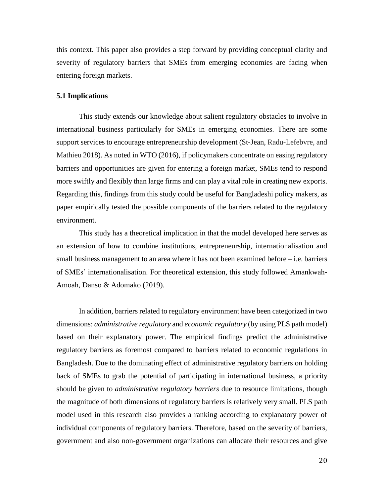this context. This paper also provides a step forward by providing conceptual clarity and severity of regulatory barriers that SMEs from emerging economies are facing when entering foreign markets.

## **5.1 Implications**

This study extends our knowledge about salient regulatory obstacles to involve in international business particularly for SMEs in emerging economies. There are some support services to encourage entrepreneurship development (St-Jean, Radu-Lefebvre, and Mathieu 2018). As noted in WTO (2016), if policymakers concentrate on easing regulatory barriers and opportunities are given for entering a foreign market, SMEs tend to respond more swiftly and flexibly than large firms and can play a vital role in creating new exports. Regarding this, findings from this study could be useful for Bangladeshi policy makers, as paper empirically tested the possible components of the barriers related to the regulatory environment.

This study has a theoretical implication in that the model developed here serves as an extension of how to combine institutions, entrepreneurship, internationalisation and small business management to an area where it has not been examined before – i.e. barriers of SMEs' internationalisation. For theoretical extension, this study followed Amankwah‐ Amoah, Danso & Adomako (2019).

In addition, barriers related to regulatory environment have been categorized in two dimensions: *administrative regulatory* and *economic regulatory* (by using PLS path model) based on their explanatory power. The empirical findings predict the administrative regulatory barriers as foremost compared to barriers related to economic regulations in Bangladesh. Due to the dominating effect of administrative regulatory barriers on holding back of SMEs to grab the potential of participating in international business, a priority should be given to *administrative regulatory barriers* due to resource limitations, though the magnitude of both dimensions of regulatory barriers is relatively very small. PLS path model used in this research also provides a ranking according to explanatory power of individual components of regulatory barriers. Therefore, based on the severity of barriers, government and also non-government organizations can allocate their resources and give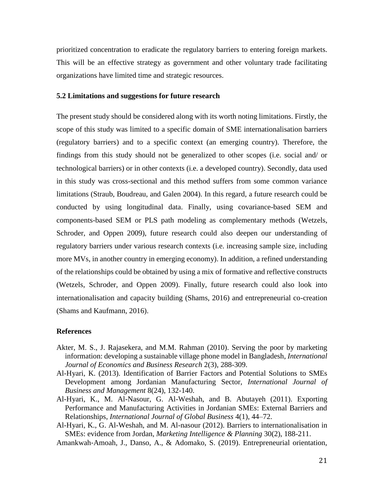prioritized concentration to eradicate the regulatory barriers to entering foreign markets. This will be an effective strategy as government and other voluntary trade facilitating organizations have limited time and strategic resources.

# **5.2 Limitations and suggestions for future research**

The present study should be considered along with its worth noting limitations. Firstly, the scope of this study was limited to a specific domain of SME internationalisation barriers (regulatory barriers) and to a specific context (an emerging country). Therefore, the findings from this study should not be generalized to other scopes (i.e. social and/ or technological barriers) or in other contexts (i.e. a developed country). Secondly, data used in this study was cross-sectional and this method suffers from some common variance limitations (Straub, Boudreau, and Galen 2004). In this regard, a future research could be conducted by using longitudinal data. Finally, using covariance-based SEM and components-based SEM or PLS path modeling as complementary methods (Wetzels, Schroder, and Oppen 2009), future research could also deepen our understanding of regulatory barriers under various research contexts (i.e. increasing sample size, including more MVs, in another country in emerging economy). In addition, a refined understanding of the relationships could be obtained by using a mix of formative and reflective constructs (Wetzels, Schroder, and Oppen 2009). Finally, future research could also look into internationalisation and capacity building (Shams, 2016) and entrepreneurial co-creation (Shams and Kaufmann, 2016).

#### **References**

- Akter, M. S., J. Rajasekera, and M.M. Rahman (2010). Serving the poor by marketing information: developing a sustainable village phone model in Bangladesh, *International Journal of Economics and Business Research* 2(3), 288-309.
- Al-Hyari, K. (2013). Identification of Barrier Factors and Potential Solutions to SMEs Development among Jordanian Manufacturing Sector, *International Journal of Business and Management* 8(24), 132-140.
- Al-Hyari, K., M. Al-Nasour, G. Al-Weshah, and B. Abutayeh (2011). Exporting Performance and Manufacturing Activities in Jordanian SMEs: External Barriers and Relationships, *International Journal of Global Business* 4(1), 44–72.
- Al-Hyari, K., G. Al-Weshah, and M. Al-nasour (2012). Barriers to internationalisation in SMEs: evidence from Jordan, *Marketing Intelligence & Planning* 30(2), 188-211.

Amankwah‐Amoah, J., Danso, A., & Adomako, S. (2019). Entrepreneurial orientation,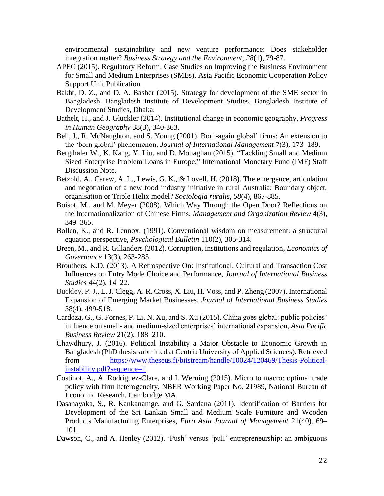environmental sustainability and new venture performance: Does stakeholder integration matter? *Business Strategy and the Environment*, *28*(1), 79-87.

- APEC (2015). Regulatory Reform: Case Studies on Improving the Business Environment for Small and Medium Enterprises (SMEs), Asia Pacific Economic Cooperation Policy Support Unit Publication.
- Bakht, D. Z., and D. A. Basher (2015). Strategy for development of the SME sector in Bangladesh. Bangladesh Institute of Development Studies. Bangladesh Institute of Development Studies, Dhaka.
- Bathelt, H., and J. Gluckler (2014). Institutional change in economic geography, *Progress in Human Geography* 38(3), 340-363.
- Bell, J., R. McNaughton, and S. Young (2001). Born-again global' firms: An extension to the 'born global' phenomenon, *Journal of International Management* 7(3), 173–189.
- Bergthaler W., K. Kang, Y. Liu, and D. Monaghan (2015). "Tackling Small and Medium Sized Enterprise Problem Loans in Europe," International Monetary Fund (IMF) Staff Discussion Note.
- Betzold, A., Carew, A. L., Lewis, G. K., & Lovell, H. (2018). The emergence, articulation and negotiation of a new food industry initiative in rural Australia: Boundary object, organisation or Triple Helix model? *Sociologia ruralis*, *58*(4), 867-885.
- Boisot, M., and M. Meyer (2008). Which Way Through the Open Door? Reflections on the Internationalization of Chinese Firms, *Management and Organization Review* 4(3), 349–365.
- Bollen, K., and R. Lennox. (1991). Conventional wisdom on measurement: a structural equation perspective, *Psychological Bulletin* 110(2), 305-314.
- Breen, M., and R. Gillanders (2012). Corruption, institutions and regulation, *Economics of Governance* 13(3), 263-285.
- Brouthers, K.D. (2013). A Retrospective On: Institutional, Cultural and Transaction Cost Influences on Entry Mode Choice and Performance, *Journal of International Business Studies* 44(2), 14–22.
- Buckley, P. J., L. J. Clegg, A. R. Cross, X. Liu, H. Voss, and P. Zheng (2007). International Expansion of Emerging Market Businesses, *Journal of International Business Studies*  38(4), 499-518.
- Cardoza, G., G. Fornes, P. Li, N. Xu, and S. Xu (2015). China goes global: public policies' influence on small- and medium-sized enterprises' international expansion, *Asia Pacific Business Review* 21(2), 188–210.
- Chawdhury, J. (2016). Political Instability a Major Obstacle to Economic Growth in Bangladesh (PhD thesis submitted at Centria University of Applied Sciences). Retrieved from [https://www.theseus.fi/bitstream/handle/10024/120469/Thesis-Political](https://www.theseus.fi/bitstream/handle/10024/120469/Thesis-Political-instability.pdf?sequence=1)[instability.pdf?sequence=1](https://www.theseus.fi/bitstream/handle/10024/120469/Thesis-Political-instability.pdf?sequence=1)
- Costinot, A., A. Rodriguez-Clare, and I. Werning (2015). Micro to macro: optimal trade policy with firm heterogeneity, NBER Working Paper No. 21989, National Bureau of Economic Research, Cambridge MA.
- Dasanayaka, S., R. Kankanamge, and G. Sardana (2011). Identification of Barriers for Development of the Sri Lankan Small and Medium Scale Furniture and Wooden Products Manufacturing Enterprises, *Euro Asia Journal of Management* 21(40), 69– 101.
- Dawson, C., and A. Henley (2012). 'Push' versus 'pull' entrepreneurship: an ambiguous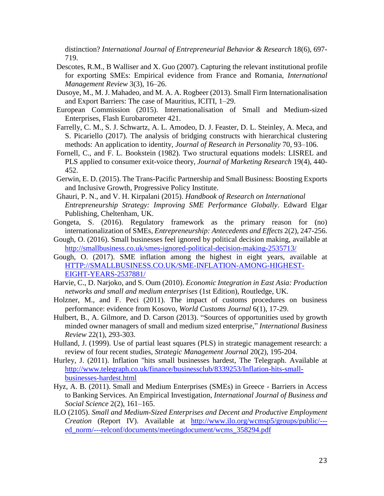distinction? *International Journal of Entrepreneurial Behavior & Research* 18(6), 697- 719.

- Descotes, R.M., B Walliser and X. Guo (2007). Capturing the relevant institutional profile for exporting SMEs: Empirical evidence from France and Romania, *International Management Review* 3(3), 16–26.
- Dusoye, M., M. J. Mahadeo, and M. A. A. Rogbeer (2013). Small Firm Internationalisation and Export Barriers: The case of Mauritius, ICITI, 1–29.
- European Commission (2015). Internationalisation of Small and Medium-sized Enterprises, Flash Eurobarometer 421.
- Farrelly, C. M., S. J. Schwartz, A. L. Amodeo, D. J. Feaster, D. L. Steinley, A. Meca, and S. Picariello (2017). The analysis of bridging constructs with hierarchical clustering methods: An application to identity, *Journal of Research in Personality* 70, 93–106.
- Fornell, C., and F. L. Bookstein (1982). Two structural equations models: LISREL and PLS applied to consumer exit-voice theory, *Journal of Marketing Research* 19(4), 440- 452.
- Gerwin, E. D. (2015). The Trans-Pacific Partnership and Small Business: Boosting Exports and Inclusive Growth, Progressive Policy Institute.
- Ghauri, P. N., and V. H. Kirpalani (2015). *Handbook of Research on International Entrepreneurship Strategy: Improving SME Performance Globally*. Edward Elgar Publishing, Cheltenham, UK.
- Gongeta, S. (2016). Regulatory framework as the primary reason for (no) internationalization of SMEs, *Entrepreneurship: Antecedents and Effects* 2(2), 247-256.
- Gough, O. (2016). Small businesses feel ignored by political decision making, available at <http://smallbusiness.co.uk/smes-ignored-political-decision-making-2535713/>
- Gough, O. (2017). SME inflation among the highest in eight years, available at [HTTP://SMALLBUSINESS.CO.UK/SME-INFLATION-AMONG-HIGHEST-](http://smallbusiness.co.uk/sme-inflation-among-highest-eight-years-2537881/)[EIGHT-YEARS-2537881/](http://smallbusiness.co.uk/sme-inflation-among-highest-eight-years-2537881/)
- Harvie, C., D. Narjoko, and S. Oum (2010). *Economic Integration in East Asia: Production networks and small and medium enterprises* (1st Edition), Routledge, UK.
- Holzner, M., and F. Peci (2011). The impact of customs procedures on business performance: evidence from Kosovo, *World Customs Journal* 6(1), 17-29.
- Hulbert, B., A. Gilmore, and D. Carson (2013). "Sources of opportunities used by growth minded owner managers of small and medium sized enterprise," *International Business Review* 22(1), 293-303.
- Hulland, J. (1999). Use of partial least squares (PLS) in strategic management research: a review of four recent studies, *Strategic Management Journal* 20(2), 195-204.
- Hurley, J. (2011). Inflation "hits small businesses hardest, The Telegraph. Available at [http://www.telegraph.co.uk/finance/businessclub/8339253/Inflation-hits-small](http://www.telegraph.co.uk/finance/businessclub/8339253/Inflation-hits-small-businesses-hardest.html)[businesses-hardest.html](http://www.telegraph.co.uk/finance/businessclub/8339253/Inflation-hits-small-businesses-hardest.html)
- Hyz, A. B. (2011). Small and Medium Enterprises (SMEs) in Greece Barriers in Access to Banking Services. An Empirical Investigation, *International Journal of Business and Social Science* 2(2), 161–165.
- ILO (2105). *Small and Medium-Sized Enterprises and Decent and Productive Employment Creation* (Report IV). Available at [http://www.ilo.org/wcmsp5/groups/public/--](http://www.ilo.org/wcmsp5/groups/public/---ed_norm/---relconf/documents/meetingdocument/wcms_358294.pdf) [ed\\_norm/---relconf/documents/meetingdocument/wcms\\_358294.pdf](http://www.ilo.org/wcmsp5/groups/public/---ed_norm/---relconf/documents/meetingdocument/wcms_358294.pdf)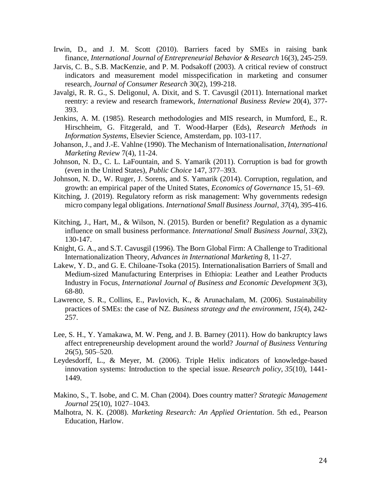- Irwin, D., and J. M. Scott (2010). Barriers faced by SMEs in raising bank finance, *International Journal of Entrepreneurial Behavior & Research* 16(3), 245-259.
- Jarvis, C. B., S.B. MacKenzie, and P. M. Podsakoff (2003). A critical review of construct indicators and measurement model misspecification in marketing and consumer research, *Journal of Consumer Research* 30(2), 199-218.
- Javalgi, R. R. G., S. Deligonul, A. Dixit, and S. T. Cavusgil (2011). International market reentry: a review and research framework, *International Business Review* 20(4), 377- 393.
- Jenkins, A. M. (1985). Research methodologies and MIS research, in Mumford, E., R. Hirschheim, G. Fitzgerald, and T. Wood-Harper (Eds), *Research Methods in Information Systems*, Elsevier Science, Amsterdam, pp. 103-117.
- Johanson, J., and J.-E. Vahlne (1990). The Mechanism of Internationalisation, *International Marketing Review* 7(4), 11-24.
- Johnson, N. D., C. L. LaFountain, and S. Yamarik (2011). Corruption is bad for growth (even in the United States), *Public Choice* 147, 377–393.
- Johnson, N. D., W. Ruger, J. Sorens, and S. Yamarik (2014). Corruption, regulation, and growth: an empirical paper of the United States, *Economics of Governance* 15, 51–69.
- Kitching, J. (2019). Regulatory reform as risk management: Why governments redesign micro company legal obligations. *International Small Business Journal*, *37*(4), 395-416.
- Kitching, J., Hart, M., & Wilson, N. (2015). Burden or benefit? Regulation as a dynamic influence on small business performance. *International Small Business Journal*, *33*(2), 130-147.
- Knight, G. A., and S.T. Cavusgil (1996). The Born Global Firm: A Challenge to Traditional Internationalization Theory, *Advances in International Marketing* 8, 11-27.
- Lakew, Y. D., and G. E. Chiloane-Tsoka (2015). Internationalisation Barriers of Small and Medium-sized Manufacturing Enterprises in Ethiopia: Leather and Leather Products Industry in Focus, *International Journal of Business and Economic Development* 3(3), 68-80.
- Lawrence, S. R., Collins, E., Pavlovich, K., & Arunachalam, M. (2006). Sustainability practices of SMEs: the case of NZ. *Business strategy and the environment*, *15*(4), 242- 257.
- Lee, S. H., Y. Yamakawa, M. W. Peng, and J. B. Barney (2011). How do bankruptcy laws affect entrepreneurship development around the world? *Journal of Business Venturing* 26(5), 505–520.
- Leydesdorff, L., & Meyer, M. (2006). Triple Helix indicators of knowledge-based innovation systems: Introduction to the special issue. *Research policy*, *35*(10), 1441- 1449.
- Makino, S., T. Isobe, and C. M. Chan (2004). Does country matter? *Strategic Management Journal* 25(10), 1027–1043.
- Malhotra, N. K. (2008). *Marketing Research: An Applied Orientation*. 5th ed., Pearson Education, Harlow.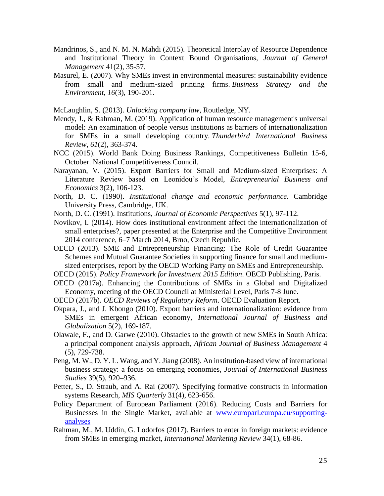- Mandrinos, S., and N. M. N. Mahdi (2015). Theoretical Interplay of Resource Dependence and Institutional Theory in Context Bound Organisations, *Journal of General Management* 41(2), 35-57.
- Masurel, E. (2007). Why SMEs invest in environmental measures: sustainability evidence from small and medium‐sized printing firms. *Business Strategy and the Environment*, *16*(3), 190-201.

McLaughlin, S. (2013). *Unlocking company law*, Routledge, NY.

- Mendy, J., & Rahman, M. (2019). Application of human resource management's universal model: An examination of people versus institutions as barriers of internationalization for SMEs in a small developing country. *Thunderbird International Business Review*, *61*(2), 363-374.
- NCC (2015). World Bank Doing Business Rankings, Competitiveness Bulletin 15-6, October. National Competitiveness Council.
- Narayanan, V. (2015). Export Barriers for Small and Medium-sized Enterprises: A Literature Review based on Leonidou's Model, *Entrepreneurial Business and Economics* 3(2), 106-123.
- North, D. C. (1990). *Institutional change and economic performance*. Cambridge University Press, Cambridge, UK.
- North, D. C. (1991). Institutions, *Journal of Economic Perspectives* 5(1), 97-112.
- Novikov, I. (2014). How does institutional environment affect the internationalization of small enterprises?, paper presented at the Enterprise and the Competitive Environment 2014 conference, 6–7 March 2014, Brno, Czech Republic.
- OECD (2013). SME and Entrepreneurship Financing: The Role of Credit Guarantee Schemes and Mutual Guarantee Societies in supporting finance for small and mediumsized enterprises, report by the OECD Working Party on SMEs and Entrepreneurship.
- OECD (2015). *Policy Framework for Investment 2015 Edition*. OECD Publishing, Paris.
- OECD (2017a). Enhancing the Contributions of SMEs in a Global and Digitalized Economy, meeting of the OECD Council at Ministerial Level, Paris 7-8 June.
- OECD (2017b). *OECD Reviews of Regulatory Reform*. OECD Evaluation Report.
- Okpara, J., and J. Kbongo (2010). Export barriers and internationalization: evidence from SMEs in emergent African economy, *International Journal of Business and Globalization* 5(2), 169-187.
- Olawale, F., and D. Garwe (2010). Obstacles to the growth of new SMEs in South Africa: a principal component analysis approach, *African Journal of Business Management* 4 (5), 729-738.
- Peng, M. W., D. Y. L. Wang, and Y. Jiang (2008). An institution-based view of international business strategy: a focus on emerging economies, *Journal of International Business Studies* 39(5), 920–936.
- Petter, S., D. Straub, and A. Rai (2007). Specifying formative constructs in information systems Research, *MIS Quarterly* 31(4), 623-656.
- Policy Department of European Parliament (2016). Reducing Costs and Barriers for Businesses in the Single Market, available at [www.europarl.europa.eu/supporting](http://www.europarl.europa.eu/supporting-analyses)[analyses](http://www.europarl.europa.eu/supporting-analyses)
- Rahman, M., M. Uddin, G. Lodorfos (2017). Barriers to enter in foreign markets: evidence from SMEs in emerging market, *International Marketing Review* 34(1), 68-86.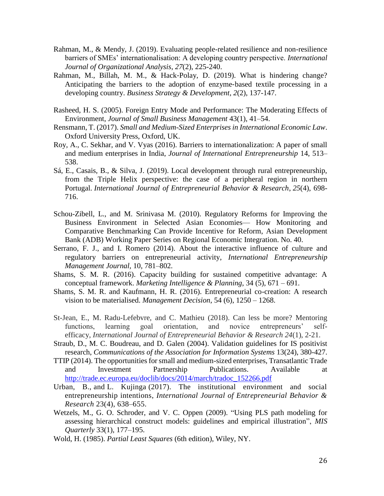- Rahman, M., & Mendy, J. (2019). Evaluating people-related resilience and non-resilience barriers of SMEs' internationalisation: A developing country perspective. *International Journal of Organizational Analysis*, *27*(2), 225-240.
- Rahman, M., Billah, M. M., & Hack‐Polay, D. (2019). What is hindering change? Anticipating the barriers to the adoption of enzyme‐based textile processing in a developing country. *Business Strategy & Development*, *2*(2), 137-147.
- Rasheed, H. S. (2005). Foreign Entry Mode and Performance: The Moderating Effects of Environment, *Journal of Small Business Management* 43(1), 41–54.
- Rensmann, T. (2017). *Small and Medium-Sized Enterprises in International Economic Law*. Oxford University Press, Oxford, UK.
- Roy, A., C. Sekhar, and V. Vyas (2016). Barriers to internationalization: A paper of small and medium enterprises in India, *Journal of International Entrepreneurship* 14, 513– 538.
- Sá, E., Casais, B., & Silva, J. (2019). Local development through rural entrepreneurship, from the Triple Helix perspective: the case of a peripheral region in northern Portugal. *International Journal of Entrepreneurial Behavior & Research*, *25*(4), 698- 716.
- Schou-Zibell, L., and M. Srinivasa M. (2010). Regulatory Reforms for Improving the Business Environment in Selected Asian Economies— How Monitoring and Comparative Benchmarking Can Provide Incentive for Reform, Asian Development Bank (ADB) Working Paper Series on Regional Economic Integration. No. 40.
- Serrano, F. J., and I. Romero (2014). About the interactive influence of culture and regulatory barriers on entrepreneurial activity, *International Entrepreneurship Management Journal,* 10, 781–802.
- Shams, S. M. R. (2016). Capacity building for sustained competitive advantage: A conceptual framework. *Marketing Intelligence & Planning*, 34 (5), 671 – 691.
- Shams, S. M. R. and Kaufmann, H. R. (2016). Entrepreneurial co-creation: A research vision to be materialised. *Management Decision*, 54 (6), 1250 – 1268.
- St-Jean, E., M. Radu-Lefebvre, and C. Mathieu (2018). Can less be more? Mentoring functions, learning goal orientation, and novice entrepreneurs' selfefficacy, *International Journal of Entrepreneurial Behavior & Research 24*(1), 2-21.
- Straub, D., M. C. Boudreau, and D. Galen (2004). Validation guidelines for IS positivist research, *Communications of the Association for Information Systems* 13(24), 380-427.
- TTIP (2014). The opportunities for small and medium-sized enterprises, Transatlantic Trade and Investment Partnership Publications. Available at [http://trade.ec.europa.eu/doclib/docs/2014/march/tradoc\\_152266.pdf](http://trade.ec.europa.eu/doclib/docs/2014/march/tradoc_152266.pdf)
- Urban, B., and L. Kujinga (2017). The institutional environment and social entrepreneurship intentions, *International Journal of Entrepreneurial Behavior & Research* 23(4), 638–655.
- Wetzels, M., G. O. Schroder, and V. C. Oppen (2009). "Using PLS path modeling for assessing hierarchical construct models: guidelines and empirical illustration", *MIS Quarterly* 33(1), 177–195.
- Wold, H. (1985). *Partial Least Squares* (6th edition), Wiley, NY.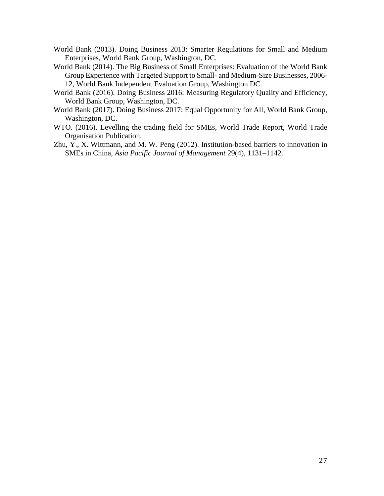- World Bank (2013). Doing Business 2013: Smarter Regulations for Small and Medium Enterprises, World Bank Group, Washington, DC.
- World Bank (2014). The Big Business of Small Enterprises: Evaluation of the World Bank Group Experience with Targeted Support to Small- and Medium-Size Businesses*,* 2006- 12, World Bank Independent Evaluation Group, Washington DC.
- World Bank (2016). Doing Business 2016: Measuring Regulatory Quality and Efficiency, World Bank Group, Washington, DC.
- World Bank (2017). Doing Business 2017: Equal Opportunity for All, World Bank Group, Washington, DC.
- WTO. (2016). Levelling the trading field for SMEs, World Trade Report, World Trade Organisation Publication.
- Zhu, Y., X. Wittmann, and M. W. Peng (2012). Institution-based barriers to innovation in SMEs in China, *Asia Pacific Journal of Management* 29(4), 1131–1142.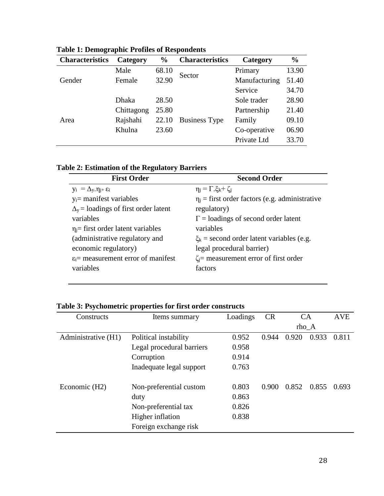| <b>Characteristics</b> | Category   | $\frac{6}{9}$ | <b>Characteristics</b> | Category      | $\frac{0}{0}$ |
|------------------------|------------|---------------|------------------------|---------------|---------------|
|                        | Male       | 68.10         | Sector                 | Primary       | 13.90         |
| Gender                 | Female     | 32.90         |                        | Manufacturing | 51.40         |
|                        |            |               |                        | Service       | 34.70         |
| Area                   | Dhaka      | 28.50         |                        | Sole trader   | 28.90         |
|                        | Chittagong | 25.80         |                        | Partnership   | 21.40         |
|                        | Rajshahi   | 22.10         | <b>Business Type</b>   | Family        | 09.10         |
|                        | Khulna     | 23.60         |                        | Co-operative  | 06.90         |
|                        |            |               |                        | Private Ltd   | 33.70         |

**Table 1: Demographic Profiles of Respondents**

| <b>Table 2: Estimation of the Regulatory Barriers</b> |
|-------------------------------------------------------|
|-------------------------------------------------------|

| <b>First Order</b>                              | <b>Second Order</b>                                 |
|-------------------------------------------------|-----------------------------------------------------|
| $y_i = \Delta_y \eta_{i^+} \varepsilon_i$       | $\eta_i = \Gamma \xi_k + \zeta_i$                   |
| $y_i$ = manifest variables                      | $\eta_i$ = first order factors (e.g. administrative |
| $\Delta_{y}$ = loadings of first order latent   | regulatory)                                         |
| variables                                       | $\Gamma$ = loadings of second order latent          |
| $\eta_i$ = first order latent variables         | variables                                           |
| (administrative regulatory and                  | $\xi_k$ = second order latent variables (e.g.       |
| economic regulatory)                            | legal procedural barrier)                           |
| $\varepsilon_i$ = measurement error of manifest | $\zeta_i$ = measurement error of first order        |
| variables                                       | factors                                             |
|                                                 |                                                     |

# **Table 3: Psychometric properties for first order constructs**

| Constructs          | Items summary             | Loadings | <b>CR</b> | CA<br>$rho_A$ |       | <b>AVE</b> |
|---------------------|---------------------------|----------|-----------|---------------|-------|------------|
|                     |                           |          |           |               |       |            |
| Administrative (H1) | Political instability     | 0.952    | 0.944     | 0.920         | 0.933 | 0.811      |
|                     | Legal procedural barriers | 0.958    |           |               |       |            |
|                     | Corruption                | 0.914    |           |               |       |            |
|                     | Inadequate legal support  | 0.763    |           |               |       |            |
| Economic (H2)       | Non-preferential custom   | 0.803    | 0.900     | 0.852         | 0.855 | 0.693      |
|                     | duty                      | 0.863    |           |               |       |            |
|                     | Non-preferential tax      | 0.826    |           |               |       |            |
|                     | Higher inflation          | 0.838    |           |               |       |            |
|                     | Foreign exchange risk     |          |           |               |       |            |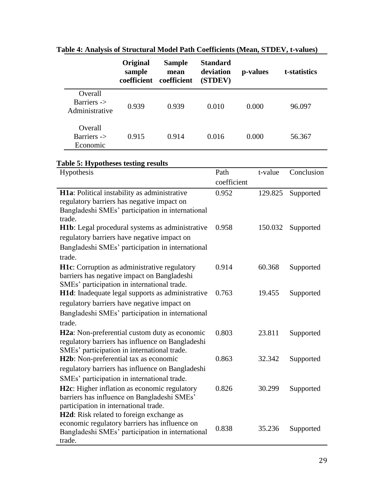|                                          | Original<br>sample<br>coefficient | <b>Sample</b><br>mean<br>coefficient | <b>Standard</b><br>deviation<br>(STDEV) | p-values | t-statistics |
|------------------------------------------|-----------------------------------|--------------------------------------|-----------------------------------------|----------|--------------|
| Overall<br>Barriers -><br>Administrative | 0.939                             | 0.939                                | 0.010                                   | 0.000    | 96.097       |
| Overall<br>Barriers -><br>Economic       | 0.915                             | 0.914                                | 0.016                                   | 0.000    | 56.367       |

**Table 4: Analysis of Structural Model Path Coefficients (Mean, STDEV, t-values)**

# **Table 5: Hypotheses testing results**

| Hypothesis                                                                                        | Path        | t-value | Conclusion |
|---------------------------------------------------------------------------------------------------|-------------|---------|------------|
|                                                                                                   | coefficient |         |            |
| H1a: Political instability as administrative                                                      | 0.952       | 129.825 | Supported  |
| regulatory barriers has negative impact on                                                        |             |         |            |
| Bangladeshi SMEs' participation in international                                                  |             |         |            |
| trade.                                                                                            | 0.958       | 150.032 |            |
| <b>H1b</b> : Legal procedural systems as administrative                                           |             |         | Supported  |
| regulatory barriers have negative impact on                                                       |             |         |            |
| Bangladeshi SMEs' participation in international                                                  |             |         |            |
| trade.                                                                                            |             |         |            |
| <b>H1c</b> : Corruption as administrative regulatory                                              | 0.914       | 60.368  | Supported  |
| barriers has negative impact on Bangladeshi                                                       |             |         |            |
| SMEs' participation in international trade.                                                       |             |         |            |
| H1d: Inadequate legal supports as administrative                                                  | 0.763       | 19.455  | Supported  |
| regulatory barriers have negative impact on                                                       |             |         |            |
| Bangladeshi SMEs' participation in international                                                  |             |         |            |
| trade.                                                                                            |             |         |            |
| H <sub>2</sub> a: Non-preferential custom duty as economic                                        | 0.803       | 23.811  | Supported  |
| regulatory barriers has influence on Bangladeshi                                                  |             |         |            |
| SMEs' participation in international trade.                                                       |             |         |            |
| H <sub>2</sub> b: Non-preferential tax as economic                                                | 0.863       | 32.342  | Supported  |
| regulatory barriers has influence on Bangladeshi                                                  |             |         |            |
| SMEs' participation in international trade.                                                       |             |         |            |
| H <sub>2</sub> c: Higher inflation as economic regulatory                                         | 0.826       | 30.299  | Supported  |
| barriers has influence on Bangladeshi SMEs'                                                       |             |         |            |
| participation in international trade.                                                             |             |         |            |
| H <sub>2</sub> d: Risk related to foreign exchange as                                             |             |         |            |
| economic regulatory barriers has influence on<br>Bangladeshi SMEs' participation in international | 0.838       | 35.236  | Supported  |
| trade.                                                                                            |             |         |            |
|                                                                                                   |             |         |            |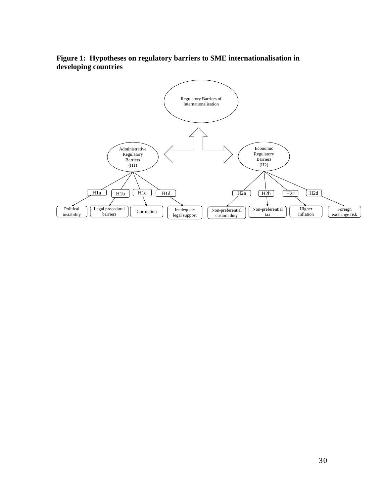

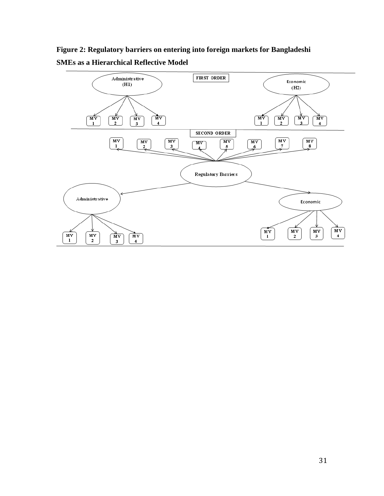**Figure 2: Regulatory barriers on entering into foreign markets for Bangladeshi SMEs as a Hierarchical Reflective Model**